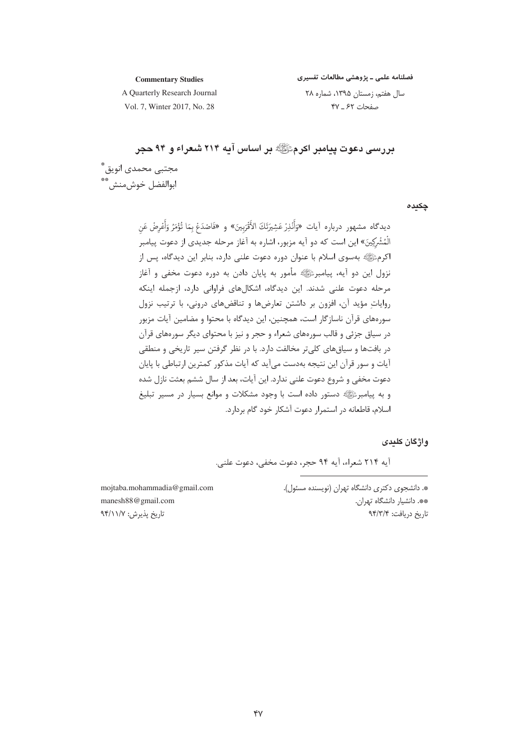فصلنامه علمی ـ پژوهشی مطالعات تفسیری

**Commentary Studies** A Quarterly Research Journal

سال هفتم، زمستان ۱۳۹۵، شماره ۲۸ صفحات ۶۲ \_ ۴۷

Vol. 7, Winter 2017, No. 28

بررسی دعوت پیامبر اکرمﷺ بر اساس آیه ۲۱۴ شعراء و ۹۴ حجر مجتبی محمدی انویق ؓ<br>ابوالفضل خوشمنش ؓ

چکیدہ

# واژگان کلیدی

آيه ٢١۴ شعراء، آيه ٩۴ حجر، دعوت مخفى، دعوت علنى.

\*. دانشجوی دکتری دانشگاه تهران (نویسنده مسئول). \*\*. دانشيار دانشگاه تهران. تاريخ دريافت: ٩۴/٣/۴

mojtaba.mohammadia@gmail.com manesh88@gmail.com تاريخ پذيرش: ٩۴/١١/٧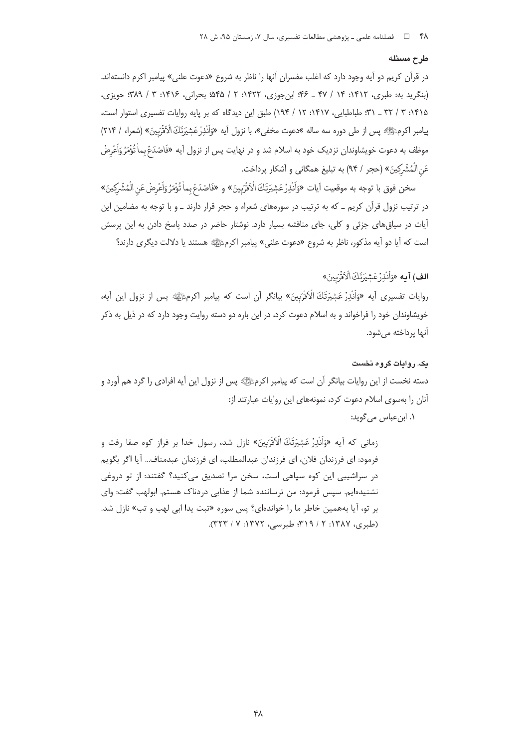#### طرح مسئله

در قرآن کریم دو آیه وجود دارد که اغلب مفسران آنها را ناظر به شروع «دعوت علنی» پیامبر اکرم دانستهاند. (بنگرید به: طبری، ۱۴۱۲: ۱۴ / ۴۷ ـ ۴۶: این جوزی، ۱۴۲۲: ۲ / ۴۵۵؛ بحرانی، ۱۴۱۶: ۳ / ۳۸۹؛ حویزی، ۱۴۱۵: ۳ / ۳۲ \_ ۳۱؛ طباطبایی، ۱۴۱۷: ۱۲ / ۱۹۴) طبق این دیدگاه که بر پایه روایات تفسیری استوار است، پیامبر اکرمﷺ پس از طی دوره سه ساله »دعوت مخفی»، با نزول آیه «وَاَنْذِرْ عَشِيَرتَكَ الْأَقْرَبِينَ» (شعراء / ٢١۴) موظف به دعوت خویشاوندان نزدیک خود به اسلام شد و در نهایت پس از نزول آیه «فَاصْدَعْ بِماٰ تُؤْمَرُ وَاَعْرِضْ عَنِ الْمُشْرِكِينَ» (حجر / ٩۴) به تبليغ همگاني و آشكار پرداخت.

سخن فوق با توجه به موقعيت آيات «وَاَنْدِرْعَشِيَرَتَكَ الْأَفْرَبِينَ» و «فَاصْدَعْ بماٰ تُؤْمَرُ وَاَعْرِضْ عَن الْمُشْرِكِينَ» در ترتیب نزول قرآن کریم ـ که به ترتیب در سورههای شعراء و حجر قرار دارند ـ و با توجه به مضامین این آیات در سیاق های جزئی و کلی، جای مناقشه بسیار دارد. نوشتار حاضر در صدد پاسخ دادن به این پرسش است که آیا دو آیه مذکور، ناظر به شروع «دعوت علنی» پیامبر اکرمﷺ هستند یا دلالت دیگری دارند؟

# **الف) آمه** «وَأَنْذرْ عَشِيَرْتَكَ الْأَقْرَبِينَ»

روايات تفسيري أيه «وَأَنْذِرْ عَشِيَرْتَكَ الْأَفْرَبِينَ» بيانگر أن است كه ييامبر اكرمﷺ پس از نزول اين أيه، خویشاوندان خود را فراخواند و به اسلام دعوت کرد، در این باره دو دسته روایت وجود دارد که در ذیل به ذکر آنها پرداخته ميشود.

#### یک. روایات گروه نخست

دسته نخست از این روایات بیانگر آن است که پیامبر اکرمﷺ پس از نزول این آیه افرادی را گرد هم آورد و آنان را بهسوی اسلام دعوت کرد، نمونههای این روایات عبارتند از:

#### ١. ابن عباس مي گويد:

زماني كه آيه «وَأَنْذِرْ عَشِيَرَتَكَ الْأَقْرَبِينَ» نازل شد، رسول خدا بر فراز كوه صفا رفت و فرمود: اي فرزندان فلان، اي فرزندان عبدالمطلب، اي فرزندان عبدمناف... آيا اگر بگويم در سراشیبی این کوه سپاهی است، سخن مرا تصدیق میکنید؟ گفتند: از تو دروغی نشنیدهایم. سپس فرمود: من ترساننده شما از عذابی دردناک هستم. ابولهب گفت: وای بر تو، آیا بههمین خاطر ما را خواندهای؟ پس سوره «تبت یدا ابی لهب و تب» نازل شد. (طبری، ۱۳۸۷: ۲ / ۳۱۹؛ طبرسی، ۱۳۷۲: ۷ / ۳۲۳).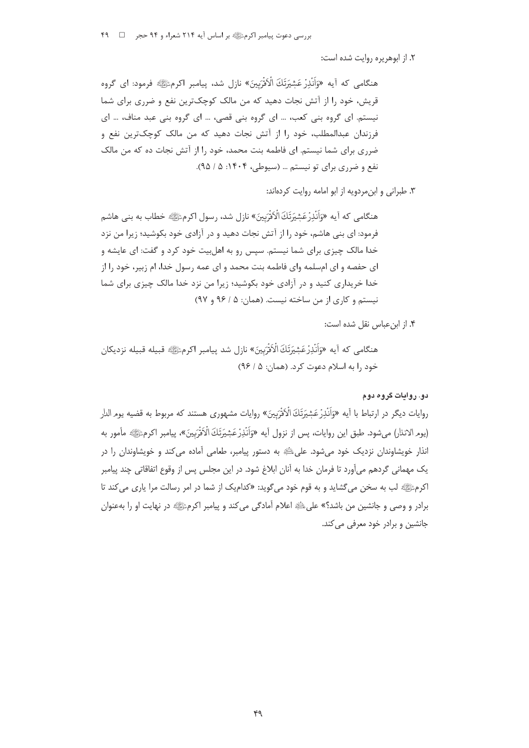٢. از ابوهريره روايت شده است:

هنگامی که آیه «وَاَنْذِرْ عَشِيَرتَكَ الْأَفْرَبِينَ» نازل شد، پیامبر اکرمﷺ فرمود: ای گروه قریش، خود را از آتش نجات دهید که من مالک کوچکترین نفع و ضرری برای شما نیستم. ای گروه بنی کعب، … ای گروه بنی قصی، … ای گروه بنی عبد مناف، … ای فرزندان عبدالمطلب، خود ۱٫ از آتش نجات دهید که من مالک کوچکترین نفع و ضرری برای شما نیستم. ای فاطمه بنت محمد، خود را از آتش نجات ده که من مالک نفع و ضرري براي تو نيستم ... (سيوطي، ۱۴۰۴: ۵ / ۹۵).

۰۳. طبرانی و این مردویه از ابو امامه روایت کردهاند:

هنگامی که آیه «وَأَنْذِرْعَشِيَرَتَكَ الْأَفْرَبِينَ» نازل شد، رسول اکرمﷺ خطاب به بنی هاشم فرمود: ای بنی هاشم، خود را از آتش نجات دهید و در آزادی خود بکوشید؛ زیرا من نزد خدا مالک چیزی برای شما نیستم. سپس رو به اهلبیت خود کرد و گفت: ای عایشه و ای حفصه و ای امسلمه وای فاطمه بنت محمد و ای عمه رسول خدا، ام زبیر، خود را از خدا خریداری کنید و در آزادی خود بکوشید؛ زیرا من نزد خدا مالک چیزی برای شما نیستم و کاری از من ساخته نیست. (همان: ۵ / ۹۶ و ۹۷)

۴. از ابن عباس نقل شده است:

هنگامي كه آيه «وَاَنْذِرْعَشِيَرَتَكَ الْأَفَّرَبِينَ» نازل شد پيامبر اكرمﷺ قبيله قبيله نزديكان خود ,ا به اسلام دعوت کرد. (همان: ۵ / ۹۶)

## دو. روايات گروه دوم

روایات دیگر در ارتباط با آیه «وَاَنْذِرْعَشِیَرَتَكَ الْاَفْرَبِینَ» روایات مشهوری هستند که مربوط به قضیه یوم الدار (يوم الانذار) مي شود. طبق اين روايات، پس از نزول آيه «وَاَنْذِرْ عَشِيَرَتَكَ الْأَقْرَبِينَ»، پيامبر اكرمﷺ مأمور به انذار خویشاوندان نزدیک خود می شود. علیﷺ به دستور پیامبر، طعامی آماده می کند و خویشاوندان را در یک مهمانی گردهم میآورد تا فرمان خدا به آنان ابلاغ شود. در این مجلس پس از وقوع اتفاقاتی چند پیامبر اکرمﷺ لب به سخن می گشاید و به قوم خود می گوید: «کدامیک از شما در امر رسالت مرا یاری می کند تا برادر و وصی و جانشین من باشد؟» علیﷺ اعلام آمادگی می کند و پیامبر اکرمﷺ در نهایت او را بهعنوان جانشین و برادر خود معرفی می کند.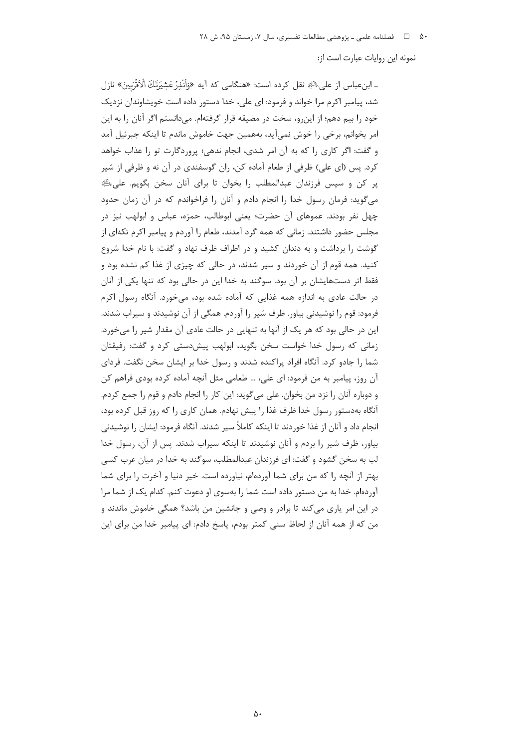نمونه این روایات عبارت است از:

ـ ابنءباس از على ﷺ نقل كرده است: «هنگامي كه آيه «وَأَنْذِرْ عَشِيَرَتَكَ الْأَقْرَبِينَ» نازل شد، پیامبر اکرم مرا خواند و فرمود: ای علی، خدا دستور داده است خویشاوندان نزدیک خود را بيم دهم؛ از اين رو، سخت در مضيقه قرار گرفتهام. مي دانستم اگر آنان را به اين امر بخوانم، برخی را خوش نمیآید، بههمین جهت خاموش ماندم تا اینکه جبرئیل آمد و گفت: اگر کاری را که به آن امر شدی، انجام ندهی؛ پروردگارت تو را عذاب خواهد کرد. پس (ای علی) ظرفی از طعام آماده کن، ران گوسفندی در آن نه و ظرفی از شیر پر کن و سپس فرزندان عبدالمطلب را بخوان تا برای آنان سخن بگویم. علی اللهِ می گوید: فرمان رسول خدا را انجام دادم و آنان را فراخواندم که در آن زمان حدود چهل نفر بودند. عموهای آن حضرت؛ یعنی ابوطالب، حمزه، عباس و ابولهب نیز در مجلس حضور داشتند. زمانی که همه گرد آمدند، طعام را آوردم و پیامبر اکرم تکهای از گوشت را برداشت و به دندان کشید و در اطراف ظرف نهاد و گفت: با نام خدا شروع کنید. همه قوم از آن خوردند و سیر شدند، در حالی که چیزی از غذا کم نشده بود و فقط اثر دستهایشان بر آن بود. سوگند به خدا این در حالی بود که تنها یکی از آنان در حالت عادی به اندازه همه غذایی که آماده شده بود، می خورد. آنگاه رسول اکرم فرمود: قوم را نوشیدنی بیاور. ظرف شیر را آوردم. همگی از آن نوشیدند و سیراب شدند. این در حالی بود که هر یک از آنها به تنهایی در حالت عادی آن مقدار شیر را می خورد. زمانی که رسول خدا خواست سخن بگوید، ابولهب پیش دستی کرد و گفت: رفیقتان شما را جادو کرد. آنگاه افراد پراکنده شدند و رسول خدا بر ایشان سخن نگفت. فردای آن روز، پیامبر به من فرمود: ای علی، … طعامی مثل آنچه آماده کرده بودی فراهم کن و دوباره آنان را نزد من بخوان. على مي گويد: اين كار را انجام دادم و قوم را جمع كردم. آنگاه بهدستور رسول خدا ظرف غذا را پیش نهادم. همان کاری را که روز قبل کرده بود، انجام داد و آنان از غذا خوردند تا اینکه کاملاً سیر شدند. آنگاه فرمود: ایشان را نوشیدنی بیاور، ظرف شیر را بردم و آنان نوشیدند تا اینکه سیراب شدند. پس از آن، رسول خدا لب به سخن گشود و گفت: ای فرزندان عبدالمطلب، سوگند به خدا در میان عرب کسی بهتر از آنچه را که من برای شما آوردهام، نیاورده است. خیر دنیا و آخرت را برای شما آوردهام. خدا به من دستور داده است شما را بهسوی او دعوت کنم. کدام یک از شما مرا در این امر یاری میکند تا برادر و وصی و جانشین من باشد؟ همگی خاموش ماندند و من كه از همه آنان از لحاظ سنى كمتر بودم، پاسخ دادم: اى پيامبر خدا من براى اين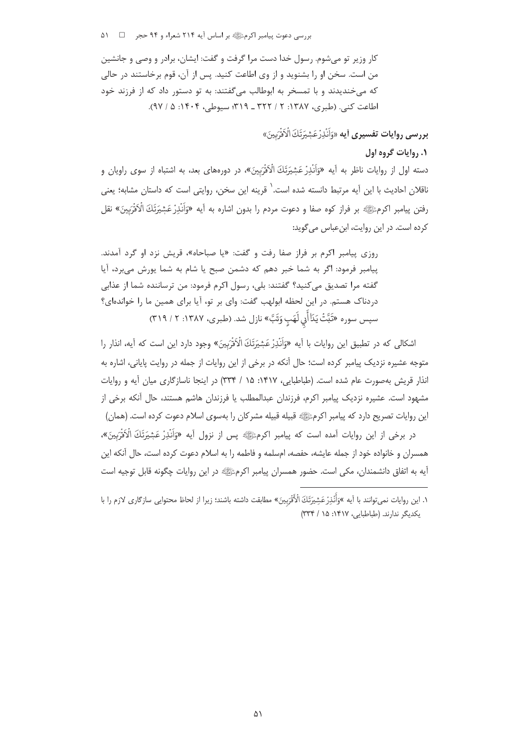بررسی دعوت پیامبر اکرمﷺ بر اساس آیه ۲۱۴ شعراء و ۹۴ حجر ۔ □ ۵۱۰

کار وزير تو مے شوم. رسول خدا دست مرا گرفت و گفت: ايشان، برادر و وصے و جانشين من است. سخن او را بشنوید و از وی اطاعت کنید. پس از آن، قوم برخاستند در حالی که میخندیدند و با تمسخر به ابوطالب میگفتند: به تو دستور داد که از فرزند خود اطاعت كني. (طبري، ١٣٨٧: ٢ / ٣٢٢ ـ ٣١٩؛ سيوطي، ١۴٠۴: ۵ / ٩٧).

بِرِ دِيسِي روايات تفسيرِي أيه «وَأَنْذِرْ عَشِيَرَتَكَ الْأَفْرَبِينَ»

## ۰٫۱ وایات گروه اول

دسته اول از روایات ناظر به آیه «وَاَنْدِرْ عَشِیَرَتَكَ الْاَقْرَبِینَ»، در دورههای بعد، به اشتباه از سوی راویان و ناقلان احادیث با این آیه مرتبط دانسته شده است. ٰ قرینه این سخن، روایتی است که داستان مشابه؛ یعنی رفتن پيامبر اكرمﷺ بر فراز كوه صفا و دعوت مردم را بدون اشاره به آيه «وَأَنْذِرْ عَشِيَرَتَكَ الْأَفَرَبِينَ» نقل کرده است. در این روایت، ابنعباس میگوید:

روزي پيامبر اكرم بر فراز صفا رفت و گفت: «يا صباحاه»، قريش نزد او گرد آمدند. پیامبر فرمود: اگر به شما خبر دهم که دشمن صبح یا شام به شما پورش میبرد، آیا گفته مرا تصديق مي كنيد؟ گفتند: بلي، رسول اكرم فرمود: من ترساننده شما از عذابي دردناک هستم. در این لحظه ابولهب گفت: وای بر تو، آیا برای همین ما را خواندهای؟ سپس سوره «تَبَّتْ يَدَاأَلِي لَهَبِ وَتَبَّ» نازل شد. (طبري، ١٣٨٧: ٢ / ٣١٩)

اشکالی که در تطبیق این روایات با آیه «وَاَنْدِرْعَشِیَرَتَكَ الْاَقْرَبِینَ» وجود دارد این است که آیه، انذار را متوجه عشیره نزدیک پیامبر کرده است؛ حال آنکه در برخی از این روایات از جمله در روایت پایانی، اشاره به انذار قریش بهصورت عام شده است. (طباطبایی، ۱۴۱۷: ۱۵ / ۳۳۴) در اینجا ناسازگاری میان آیه و روایات مشهود است. عشیره نزدیک پیامبر اکرم، فرزندان عبدالمطلب یا فرزندان هاشم هستند، حال آنکه برخی از این روایات تصریح دارد که پیامبر اکرمﷺ قبیله قبیله مشرکان را بهسوی اسلام دعوت کرده است. (همان)

در برخي از اين روايات آمده است كه پيامبر اكرمﷺ پس از نزول آيه «وَأَنْذِرْ عَشِيَرَتَكَ الْأَقْرَبِينَ»، همسران و خانواده خود از جمله عایشه، حفصه، امسلمه و فاطمه را به اسلام دعوت کرده است، حال آنکه این أيه به اتفاق دانشمندان، مكي است. حضور همسران پيامبر اكرمﷺ در اين روايات چگونه قابل توجيه است

١. اين روايات نمي¤وانند با آيه »وَأَنْذِرْ عَشِيرَتَكَ الْأَقْرَبِينَ» مطابقت داشته باشند؛ زيرا از لحاظ محتوايي سازگاري لازم را با یکدیگر ندارند. (طباطبایی، ۱۴۱۷: ۱۵ / ۳۳۴)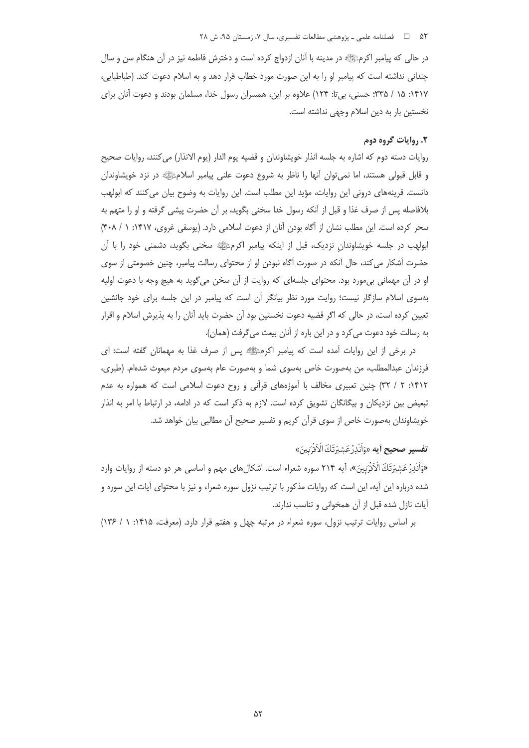در حالي كه پيامبر اكرمﷺ در مدينه با آنان ازدواج كرده است و دخترش فاطمه نيز در آن هنگام سن و سال چندانی نداشته است که پیامبر او را به این صورت مورد خطاب قرار دهد و به اسلام دعوت کند. (طباطبایی، ۱۴۱۷: ۱۵ / ۳۳۵؛ حسنی، بی تا: ۱۲۴) علاوه بر این، همسران رسول خدا، مسلمان بودند و دعوت آنان برای نخستین بار به دین اسلام وجهی نداشته است.

#### ۲. روایات گروه دوم

روايات دسته دوم كه اشاره به جلسه انذار خويشاوندان و قضيه يوم الدار (يوم الانذار) مي كنند، روايات صحيح و قابل قبولی هستند، اما نمی¤وان أنها را ناظر به شروع دعوت علنی پیامبر اسلامﷺ در نزد خویشاوندان دانست. قرینههای درونی این روایات، مؤید این مطلب است. این روایات به وضوح بیان می کنند که ابولهب بلافاصله پس از صرف غذا و قبل از آنکه رسول خدا سخنی بگوید، بر آن حضرت پیشی گرفته و او را متهم به سحر کرده است. این مطلب نشان از آگاه بودن آنان از دعوت اسلامی دارد. (یوسفی غروی، ۱۴۱۷: ۱ / ۴۰۸) ابولهب در جلسه خویشاوندان نزدیک، قبل از اینکه پیامبر اکرمﷺ سخنی بگوید، دشمنی خود را با آن حضرت آشکار می کند، حال آنکه در صورت آگاه نبودن او از محتوای رسالت پیامبر، چنین خصومتی از سوی او در آن مهمانی بی،مورد بود. محتوای جلسهای که روایت از آن سخن می گوید به هیچ وجه با دعوت اولیه بەسوی اسلام سازگار نیست؛ روایت مورد نظر بیانگر آن است که پیامبر در این جلسه برای خود جانشین تعیین کرده است، در حالی که اگر قضیه دعوت نخستین بود آن حضرت باید آنان را به پذیرش اسلام و اقرار به رسالت خود دعوت می کرد و در این باره از آنان بیعت می گرفت (همان).

در برخی از این روایات آمده است که پیامبر اکرمﷺ پس از صرف غذا به مهمانان گفته است: ای فرزندان عبدالمطلب، من بەصورت خاص بەسوى شما و بەصورت عام بەسوى مردم مبعوث شدەام. (طبرى، ۱۴۱۲: ۲ / ۳۲) چنین تعبیری مخالف با آموزههای قرآنی و روح دعوت اسلامی است که همواره به عدم تبعیض بین نزدیکان و بیگانگان تشویق کرده است. لازم به ذکر است که در ادامه، در ارتباط با امر به انذار خویشاوندان بهصورت خاص از سوی قرآن کریم و تفسیر صحیح آن مطالبی بیان خواهد شد.

# **تفسير صحيح آيه** «وَأَنْذِرْ عَشِيَرَتَكَ الْأَفَرَّبِينَ»

«وَاَنْذِرْ عَشِيَرْتَكَ الْآقَرْبِينَ»، آيه ٢١۴ سوره شعراء است. اشكالهاى مهم و اساسى هر دو دسته از روايات وارد شده درباره این آیه، این است که روایات مذکور با ترتیب نزول سوره شعراء و نیز با محتوای آیات این سوره و آیات نازل شده قبل از آن همخوانی و تناسب ندارند.

بر اساس روایات ترتیب نزول، سوره شعراء در مرتبه چهل و هفتم قرار دارد. (معرفت، ۱۴۱۵: ۱/ ۱۳۶)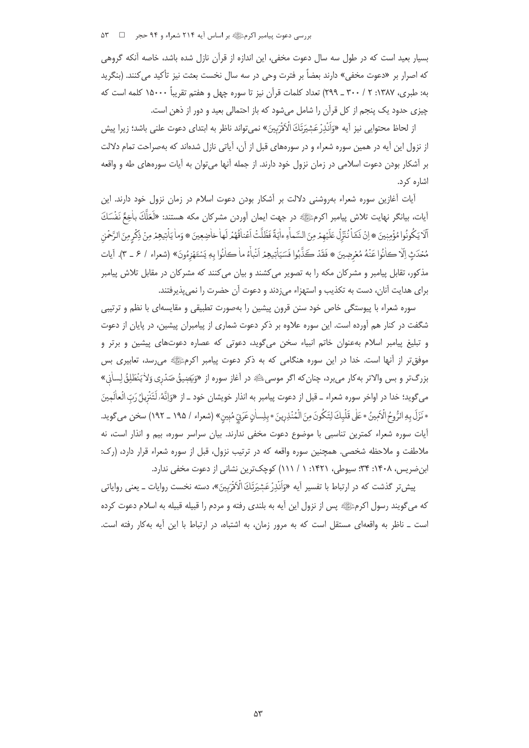بررسی دعوت پیامبر اکرمﷺ بر اساس آیه ۲۱۴ شعراء و ۹۴ حجر ۔ □ ۵۳

بسیار بعید است که در طول سه سال دعوت مخفی، این اندازه از قرآن نازل شده باشد، خاصه آنکه گروهی كه اصرار بر «دعوت مخفى» دارند بعضاً بر فترت وحي در سه سال نخست بعثت نيز تأكيد مي كنند. (بنگريد به: طبري، ١٣٨٧: ٢ / ٣٠٠ \_ ٢٩٩) تعداد كلمات قرآن نيز تا سوره چهل و هفتم تقريباً ١۵٠٠٠ كلمه است كه چیزی حدود یک پنجم از کل قرآن را شامل میشود که باز احتمالی بعید و دور از ذهن است.

از لحاظ محتوايي نيز آيه «وَأَنْذِرْ عَشِيَرَتَكَ الْأَقْرَبِينَ» نمي تواند ناظر به ابتداي دعوت علني باشد؛ زيرا پيش از نزول این آیه در همین سوره شعراء و در سورههای قبل از آن، آیاتی نازل شدهاند که بهصراحت تمام دلالت بر آشکار بودن دعوت اسلامی در زمان نزول خود دارند. از جمله آنها میٍتوان به آیات سورههای طه و واقعه اشاره کرد.

آیات آغازین سوره شعراء بهروشنی دلالت بر آشکار بودن دعوت اسلام در زمان نزول خود دارند. این أيات، بيانگر نهايت تلاش پيامبر اكرمﷺ در جهت ايمان أوردن مشركان مكه هستند: «لَعَلَّكَ بِاٰخِعٌ نَفْسَكَ أَلَّا يَكُونُوا مُؤْمِنِينَ ۞ اِنْ نَشَأْ نُنَّزِلْ عَلَيْهِمْ مِنَ السَّماْءِ ءاٰيَةً فَظَلَّتْ اَعْنافُهُمْ لَها خاضِعِينَ ۞ وَما يَأْبَيهِمْ مِنْ ذِكْرِمِنَ الرَّحْمٰنِ مُحْدَثٍ إلَّا كانُوا عَنْهُ مُعْرِضِينَ ۞ فَقَدْ كَذَّبُوا فَسَيَأْتِيهِمْ اَنْبِأَءُ ما كانُوا بِهٖ يَسْتَهْزِءُونَ» (شعراء / ۶ \_ ٣). أيات .<br>مذکور، تقابل پیامبر و مشرکان مکه را به تصویر میکشند و بیان میکنند که مشرکان در مقابل تلاش پیامبر براي هدايت آنان، دست به تكذيب و استهزاء مي;دند و دعوت آن حضرت را نمي پذيرفتند.

سوره شعراء با پیوستگی خاص خود سنن قرون پیشین را بهصورت تطبیقی و مقایسهای با نظم و ترتیبی شگفت در کنار هم آورده است. این سوره علاوه بر ذکر دعوت شماری از پیامبران پیشین، در پایان از دعوت و تبلیغ پیامبر اسلام بهعنوان خاتم انبیاء سخن میگوید، دعوتی که عصاره دعوتهای پیشین و برتر و موفقتر از آنها است. خدا در این سوره هنگامی که به ذکر دعوت پیامبر اکرمﷺ می رسد، تعابیری بس بزرگتر و بس والاتر بهکار میبرد، چنان که اگر موسیﷺ در آغاز سوره از «وَيَصٖيقُ صَدْرِي وَلاٰ يَنْطَلِقُ لِساٰنِ» مي6ويد؛ خدا در اواخر سوره شعراء \_ قبل از دعوت پيامبر به انذار خويشان خود \_ از «وَاِنَّهُ،لَتَنْزِيلُ رَبّ الْعالَمينَ \* نَزَلَ بِهِ الرُّومُ الْأَمِينُ \* عَلٰى قَلْبِكَ لِتَكُونَ مِنَ الْمُنْذِرِينَ \* بِلِساٰنٍ عَرَبٍّ مُبِينٍ» (شعراء / ١٩٥ ـ ١٩٢) سخن مي گويد. آیات سوره شعراء کمترین تناسبی با موضوع دعوت مخفی ندارند. بیان سراسر سوره، بیم و انذار است، نه ملاطفت و ملاحظه شخصی. همچنین سوره واقعه که در ترتیب نزول، قبل از سوره شعراء قرار دارد، (رک: ابن ضریس، ۱۴۰۸: ۳۴؛ سیوطی، ۱۴۲۱: ۱ / ۱۱۱) کوچکترین نشانی از دعوت مخفی ندارد.

پیش تر گذشت که در ارتباط با تفسیر آیه «وَاَنْدِرْعَشِیَرَتَكَ الْاَفَرَبِینَ»، دسته نخست روایات ــ یعنی روایاتی كه مي گويند رسول اكرمﷺ پس از نزول اين آيه به بلندي رفته و مردم را قبيله قبيله به اسلام دعوت كرده است \_ ناظر به واقعه|ی مستقل است که به مرور زمان، به اشتباه، در ارتباط با این آیه بهکار رفته است.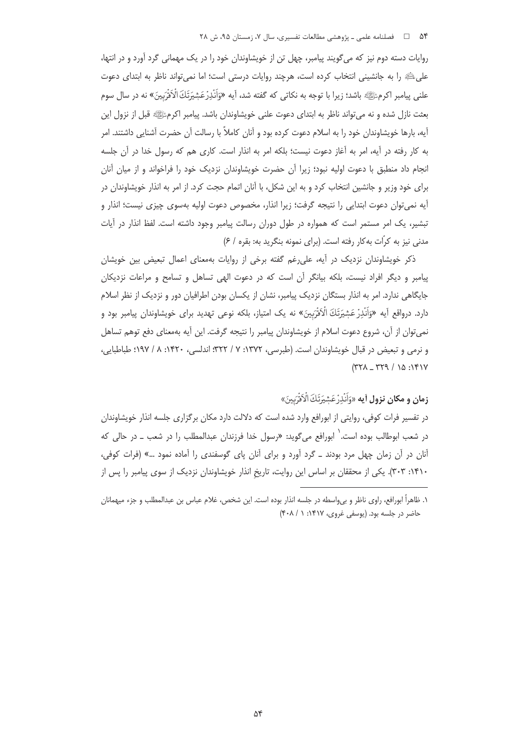روایات دسته دوم نیز که می گویند پیامبر، چهل تن از خویشاوندان خود را در یک مهمانی گرد آورد و در انتها، على عليه را به جانشيني انتخاب كرده است، هرچند روايات درستي است؛ اما نمي تواند ناظر به ابتداي دعوت علني پيامبر اکرمﷺ باشد؛ زيرا با توجه به نکاتي که گفته شد، آيه «وَاَنْدِرْعَشِيَرَتَكَ الْاَقْرَبِينَ» نه در سال سوم بعثت نازل شده و نه می تواند ناظر به ابتدای دعوت علنی خویشاوندان باشد. پیامبر اکرمﷺ قبل از نزول این آیه، بارها خویشاوندان خود را به اسلام دعوت کرده بود و آنان کاملاً با رسالت آن حضرت آشنایی داشتند. امر به کار رفته در آیه، امر به آغاز دعوت نیست؛ بلکه امر به انذار است. کاری هم که رسول خدا در آن جلسه انجام داد منطبق با دعوت اوليه نبود؛ زيرا آن حضرت خويشاوندان نزديك خود را فراخواند و از ميان آنان برای خود وزیر و جانشین انتخاب کرد و به این شکل، با اًنان اتمام حجت کرد. از امر به انذار خویشاوندان در آيه نمي¤وان دعوت ابتدايي را نتيجه گرفت؛ زيرا انذار، مخصوص دعوت اوليه بهسوى چيزى نيست؛ انذار و تبشیر، یک امر مستمر است که همواره در طول دوران رسالت پیامبر وجود داشته است. لفظ انذار در آیات مدنی نیز به کرّات بهکار رفته است. (برای نمونه بنگرید به: بقره / ۶)

ذکر خویشاوندان نزدیک در آیه، علی رغم گفته برخی از روایات بهمعنای اعمال تبعیض بین خویشان پیامبر و دیگر افراد نیست، بلکه بیانگر آن است که در دعوت الهی تساهل و تسامح و مراعات نزدیکان جایگاهی ندارد. امر به انذار بستگان نزدیک پیامبر، نشان از یکسان بودن اطرافیان دور و نزدیک از نظر اسلام دارد. درواقع آيه «وَاَنْذِرْ عَشِيَرَتَكَ الْأَفْرَبِينَ» نه يک امتياز، بلکه نوعي تهديد براي خويشاوندان پيامبر بود و نمی توان از آن، شروع دعوت اسلام از خویشاوندان پیامبر را نتیجه گرفت. این آیه بهمعنای دفع توهم تساهل و نرمی و تبعیض در قبال خویشاوندان است. (طبرسی، ۱۳۷۲: ۷ / ۳۲۲: اندلسی، ۱۴۲۰: ۸ / ۱۹۷؛ طباطبایی،  $(177) - 197$  / 10:141

ز**مان و مكان نزول أيه** «وَأَنْذِرْ عَشِيَرَتَكَ الْأَفْرَبِينَ»

در تفسیر فرات کوفی، روایتی از ابورافع وارد شده است که دلالت دارد مکان برگزاری جلسه انذار خویشاوندان در شعب ابوطالب بوده است. <sup>۱</sup> ابورافع می گوید: «رسول خدا فرزندان عبدالمطلب را در شعب ــ در حالی که آنان در آن زمان چهل مرد بودند ــ گرد آورد و برای آنان پای گوسفندی را آماده نمود …» (فرات کوفی، ۱۴۱۰: ۳۰۳). یکی از محققان بر اساس این روایت، تاریخ انذار خویشاوندان نزدیک از سوی پیامبر را پس از

١. ظاهراً ابورافع، راوي ناظر و بے واسطه در جلسه انذار بوده است. اين شخص، غلام عباس بن عبدالمطلب و جزء ميهمانان حاضر در جلسه بود. (یوسفی غروی، ۱۴۱۷: ۱ / ۴۰۸)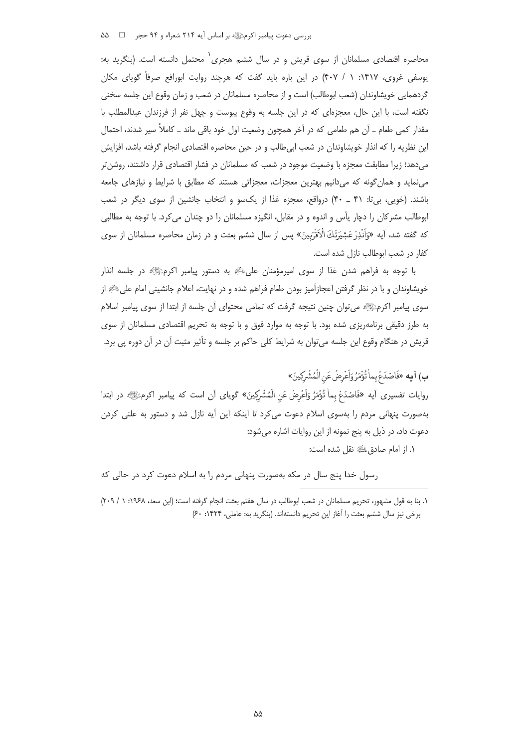بررسی دعوت پیامبر اکرمﷺ بر اساس آیه ۲۱۴ شعراء و ۹۴ حجر ۔ □ ۵۵

محاصره اقتصادی مسلمانان از سوی قریش و در سال ششم هجری<sup>٬</sup> محتمل دانسته است. (بنگرید به: یوسفی غروی، ۱۴۱۷: ۱ / ۴۰۷) در این باره باید گفت که هرچند روایت ابورافع صرفاً گویای مکان گردهمايي خويشاوندان (شعب ابوطالب) است و از محاصره مسلمانان در شعب و زمان وقوع اين جلسه سخني نگفته است، با این حال، معجزهای که در این جلسه به وقوع پیوست و چهل نفر از فرزندان عبدالمطلب با مقدار کمی طعام ــ آن هم طعامی که در آخر همچون وضعیت اول خود باقی ماند ــ کاملاً سیر شدند، احتمال این نظریه را که انذار خویشاوندان در شعب ابیطالب و در حین محاصره اقتصادی انجام گرفته باشد، افزایش میدهد؛ زیرا مطابقت معجزه با وضعیت موجود در شعب که مسلمانان در فشار اقتصادی قرار داشتند، روشن تر مینماید و همان گونه که میدانیم بهترین معجزات، معجزاتی هستند که مطابق با شرایط و نیازهای جامعه باشند. (خویی، بیتا: ۴۱ ـ ۴۰) درواقع، معجزه غذا از یکسو و انتخاب جانشین از سوی دیگر در شعب ابوطالب مشرکان را دچار یأس و اندوه و در مقابل، انگیزه مسلمانان را دو چندان می کرد. با توجه به مطالبی که گفته شد، آیه «وَاَنْدِرْعَشِیَرَتَكَ الْاَقْرَبِینَ» پس از سال ششم بعثت و در زمان محاصره مسلمانان از سوی كفار در شعب ابوطالب نازل شده است.

با توجه به فراهم شدن غذا از سوى اميرمؤمنان على ﷺ به دستور پيامبر اكرمﷺ در جلسه انذار خویشاوندان و با در نظر گرفتن اعجازآمیز بودن طعام فراهم شده و در نهایت، اعلام جانشینی امام علیﷺ از سوی پیامبر اکرمﷺ می توان چنین نتیجه گرفت که تمامی محتوای آن جلسه از ابتدا از سوی پیامبر اسلام به طرز دقیقی برنامهریزی شده بود. با توجه به موارد فوق و با توجه به تحریم اقتصادی مسلمانان از سوی قریش در هنگام وقوع این جلسه می¤وان به شرایط کلی حاکم بر جلسه و تأثیر مثبت آن در آن دوره پی برد.

ب) آيه «فَاصْدَعْ بِما تُؤْمَرُ وَاَعْرِضْ عَنِ الْمُشْرِكِينَ» روايات تفسيري أيه «فَاصْدَعْ بِماْ تُؤْمَرُ وَاَعْرِضْ عَنِ الْمُشْرِكِينَ» گوياي أن است كه پيامبر اكرمﷺ در ابتدا بهصورت پنهانی مردم را بهسوی اسلام دعوت می کرد تا اینکه این آیه نازل شد و دستور به علنی کردن دعوت داد، در ذیل به پنج نمونه از این روایات اشاره میشود:

١. از امام صادق عليه نقل شده است:

رسول خدا پنج سال در مکه بهصورت پنهانی مردم را به اسلام دعوت کرد در حالی که

١. بنا به قول مشهور، تحريم مسلمانان در شعب ابوطالب در سال هفتم بعثت انجام گرفته است؛ (ابن سعد، ١٩۶٨: ١ / ٢٠٩) برخي نيز سال ششم بعثت را آغاز اين تحريم دانستهاند. (بنگريد به: عاملي، ١۴٢۴: ۶٠)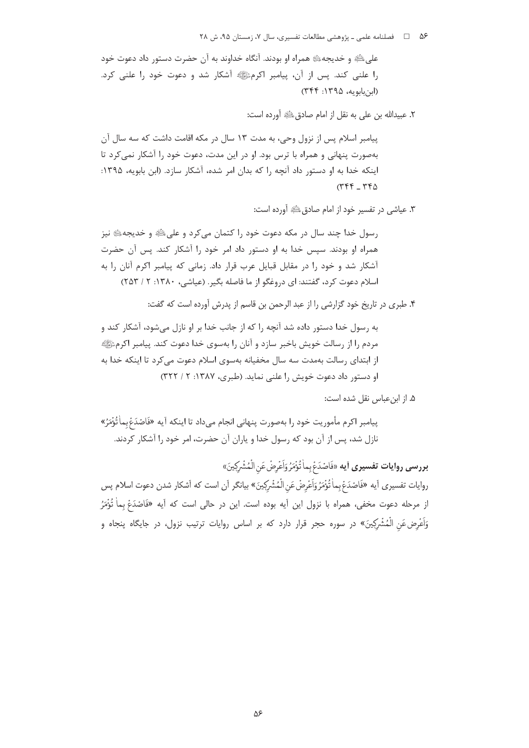على ﷺ و خديجه ﷺ همراه او بودند. آنگاه خداوند به آن حضرت دستور داد دعوت خود را علنی کند. پس از آن، پیامبر اکرمﷺ آشکار شد و دعوت خود را علنی کرد. (ابن بابويه، ١٣٩۵: ٣۴۴)

٢. عبيدالله بن على به نقل إز امام صادق ﷺ أورده است:

پیامبر اسلام پس از نزول وحی، به مدت ۱۳ سال در مکه اقامت داشت که سه سال آن بهصورت پنهانی و همراه با ترس بود. او در این مدت، دعوت خود را آشکار نمی کرد تا اینکه خدا به او دستور داد آنچه را که بدان امر شده، آشکار سازد. (ابن بابویه، ۱۳۹۵:  $(PPF - PFA)$ 

٣. عياشي در تفسير خود از امام صادق ﷺ آورده است:

رسول خدا چند سال در مکه دعوت خود را کتمان می کرد و علیﷺ و خدیجه، و نیز همراه او بودند. سپس خدا به او دستور داد امر خود را آشکار کند. پس آن حضرت آشکار شد و خود را در مقابل قبایل عرب قرار داد. زمانی که پیامبر اکرم آنان را به اسلام دعوت کرد، گفتند: ای دروغگو از ما فاصله بگیر. (عیاشی، ۱۳۸۰: ۲ / ۲۵۳)

۴. طبري در تاريخ خود گزارشي را از عبد الرحمن بن قاسم از پدرش آورده است كه گفت:

به رسول خدا دستور داده شد آنچه را که از جانب خدا بر او نازل می شود، آشکار کند و مردم را از رسالت خویش باخبر سازد و آنان را بهسوی خدا دعوت کند. پیامبر اکرمﷺ از ابتدای رسالت بهمدت سه سال مخفیانه بهسوی اسلام دعوت می کرد تا اینکه خدا به او دستور داد دعوت خویش را علنی نماید. (طبری، ۱۳۸۷: ۲ / ۳۲۲)

۵. از ابن عباس نقل شده است:

پيامبر اكرم مأموريت خود را بهصورت پنهاني انجام ميداد تا اينكه آيه «فَاصْدَعْبِماْ تُؤْمَرُ» نازل شد، پس از آن بود که رسول خدا و پاران آن حضرت، امر خود را آشکار کردند.

بررسي روايات تفسيري أيه «فَاصْدَعْ بِماٰ تُؤْمَرُ وَاَعْرِضْ عَنِ الْمُشْرِكِينَ» روايات تفسيري أيه «فَاصْدَعْ بِماٰ تُؤْمَرُ وَاَعْرِضْ عَنِ الْمُشْرِكِينَ» بيانگر أن است كه أشكار شدن دعوت اسلام پس از مرحله دعوت مخفى، همراه با نزول اين آيه بوده است. اين در حالي است كه آيه «فَاصْدَعْ بِماْ تُؤْمَرُ وَاَعْرِض عَنِ الْمُشْرِكِينَ» در سوره حجر قرار دارد كه بر اساس روايات ترتيب نزول، در جايگاه پنجاه و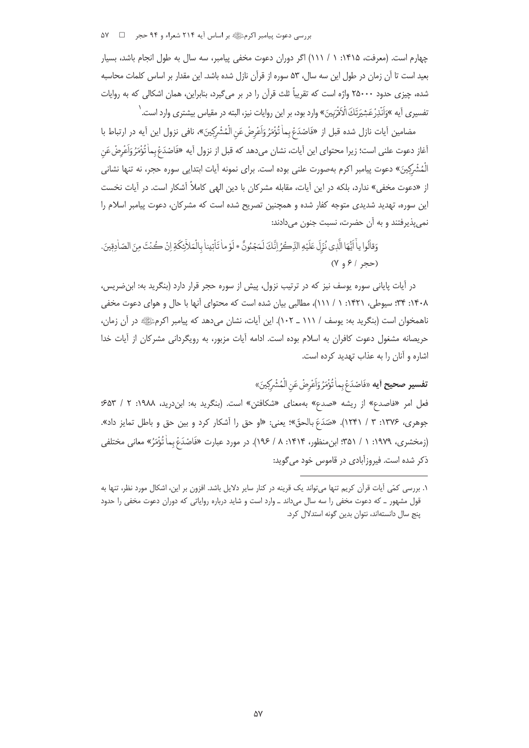بررسی دعوت پیامبر اکرمﷺ بر اساس آیه ۲۱۴ شعراء و ۹۴ حجر ۵۷

چهارم است. (معرفت، ۱۴۱۵: ۱ / ۱۱۱) اگر دوران دعوت مخفی پیامبر، سه سال به طول انجام باشد، بسیار بعید است تا آن زمان در طول این سه سال، ۵۳ سوره از قرآن نازل شده باشد. این مقدار بر اساس کلمات محاسبه شده، چیزی حدود ۲۵۰۰۰ واژه است که تقریباً ثلث قرآن را در بر میگیرد، بنابراین، همان اشکالی که به روایات تفسیری آیه »وَاَنْذِرْعَشِیَرَتَكَ الْاَقْرَبِینَ» وارد بود، بر این روایات نیز، البته در مقیاس بیشتری وارد است. <sup>(</sup>

مضامين آيات نازل شده قبل از «فَاصْدَعْ بِماٰ تُؤْمَرُ وَاَعْرِضْ عَنِ الْمُشْرِكِينَ»، نافي نزول اين آيه در ارتباط با أغاز دعوت علني است؛ زيرا محتواي اين آيات، نشان ميدهد كه قبل از نزول آيه «فَاصْدَعْ بماٰ تُؤْمَرُ وَاَعْرِضْ عَن الْمُشْركِينَ» دعوت پيامبر اكرم بهصورت علني بوده است. براي نمونه آيات ابتدايي سوره حجر، نه تنها نشاني از «دعوت مخفی» ندارد، بلکه در این آیات، مقابله مشرکان با دین الهی کاملاً آشکار است. در آیات نخست این سوره، تهدید شدیدی متوجه کفار شده و همچنین تصریح شده است که مشرکان، دعوت پیامبر اسلام را نمي يذيرفتند و به آن حضرت، نسبت جنون مي دادند:

وَقِالُوا يِأَ إِنَّهَا الَّذِي نُزِّلَ عَلَيْهِ الذِّكُّرُ انَّكَ لَمَجْنُونٌ \* لَوْ ماٰ تَأْتِيناٰ بِالْمَلأِ يكَةِ انْ كُنْتَ مِنَ الصّادقينَ.  $(Y, 8 | X)$ 

در آیات پایانی سوره یوسف نیز که در ترتیب نزول، پیش از سوره حجر قرار دارد (بنگرید به: ابن ضریس، ۰۱۴۰۸): ۳۴: سیوطی، ۱۴۲۱: ۱ / ۱۱۱)، مطالبی بیان شده است که محتوای آنها با حال و هوای دعوت مخفی ناهمخوان است (بنگرید به: یوسف / ۱۱۱ \_ ۱۰۲). این آیات، نشان می دهد که پیامبر اکرمﷺ در آن زمان، حريصانه مشغول دعوت كافران به اسلام بوده است. ادامه آيات مزبور، به رويگرداني مشركان از آيات خدا اشاره و آنان را به عذاب تهدید کرده است.

**تفسير صحيح أيه** «فَاصْدَعْ بِماٰ تُؤْمَرُ وَاَعْرِضْ عَنِ الْمُشْرِكِينَ» فعل امر «فاصدع» از ریشه «صدع» بهمعنای «شکافتن» است. (بنگرید به: ابندرید، ۱۹۸۸: ۲ / ۶۵۳ جوهري، ١٣٧۶: ٣ / ١٢٣١). «صَدَعَ بالحقّ»؛ يعني: «او حق را أشكار كرد و بين حق و باطل تمايز داد». (زمخشري، ١٩٧٩: ١ / ٣۵١): ابن منظور، ١٣١۴: ٨ / ١٩۶). در مورد عبارت «فَاصْدَعْ بِماْ تُؤْمَرُ» معاني مختلفي ذکر شده است. فیروزآبادی در قاموس خود می گوید:

١. بررسی کمّی آیات قرآن کریم تنها میٍتواند یک قرینه در کنار سایر دلایل باشد. افزون بر این، اشکال مورد نظر، تنها به قول مشهور ـ كه دعوت مخفى را سه سال مىداند ـ وارد است و شايد درباره رواياتى كه دوران دعوت مخفى را حدود ینج سال دانستهاند، نتوان بدین گونه استدلال کرد.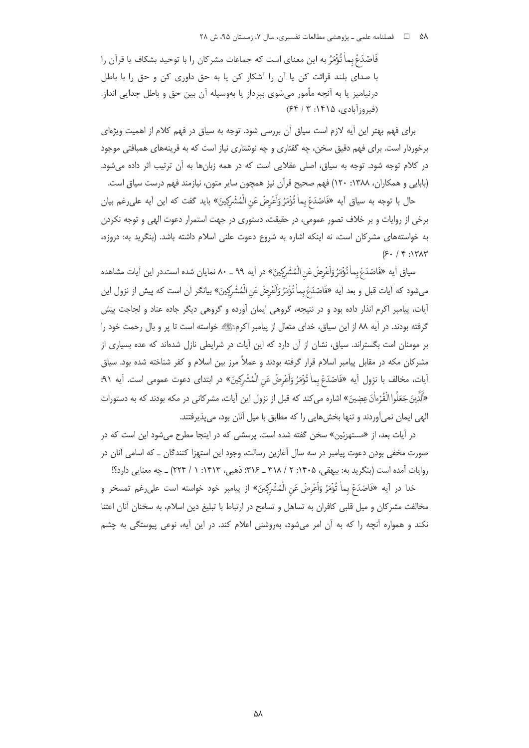فَاصْدَعْ بماٰ تُؤْمَرُ به اين معناي است كه جماعات مشركان را با توحيد بشكاف يا قرآن را با صدای بلند قرائت کن یا آن را آشکار کن یا به حق داوری کن و حق را با باطل درنیامیز یا به آنچه مأمور میشوی بپرداز یا بهوسیله آن بین حق و باطل جدایی انداز. (فيروزآبادي، ١٤١۵: ٣ / ٤٤)

برای فهم بهتر این آیه لازم است سیاق آن بررسی شود. توجه به سیاق در فهم کلام از اهمیت ویژهای برخوردار است. برای فهم دقیق سخن، چه گفتاری و چه نوشتاری نیاز است که به قرینههای همبافتی موجود در کلام توجه شود. توجه به سیاق، اصلی عقلایی است که در همه زبانها به آن ترتیب اثر داده میشود. (بابایی و همکاران، ۱۳۸۸: ۱۲۰) فهم صحیح قرآن نیز همچون سایر متون، نیازمند فهم درست سیاق است.

حال با توجه به سياق أيه «فَاصْدَعْ بِماْ تُؤْمَرُ وَاَعْرِضْ عَنِ الْمُشْرِكِينَ» بايد گفت كه اين أيه علىرغم بيان برخی از روایات و بر خلاف تصور عمومی، در حقیقت، دستوری در جهت استمرار دعوت الهی و توجه نکردن به خواستههای مشرکان است، نه اینکه اشاره به شروع دعوت علنی اسلام داشته باشد. (بنگرید به: دروزه،  $(5. / 9.1717$ 

سیاق آیه «فَاصْدَعْ بِماٰ تُؤْمَرُ وَاَعْرِضْ عَنِ الْمُشْرِكِينَ» در آیه ۹۹ ــ ۸۰ نمایان شده است.در این آیات مشاهده مىشود كه أيات قبل و بعد أيه «فَاصْدَعْ بِماٰ تُؤْمَرُ وَاَعْرِضْ عَنِ الْمُشْرِكِينَ» بيانگر أن است كه پيش از نزول اين .<br>آیات، پیامبر اکرم انذار داده بود و در نتیجه، گروهی ایمان آورده و گروهی دیگر جاده عناد و لجاجت پیش گرفته بودند. در آیه ۸۸ از این سیاق، خدای متعال از پیامبر اکرمﷺ خواسته است تا پر و بال رحمت خود را بر مومنان امت بگستراند. سیاق، نشان از آن دارد که این آیات در شرایطی نازل شدهاند که عده بسیاری از مشرکان مکه در مقابل پیامبر اسلام قرار گرفته بودند و عملاً مرز بین اسلام و کفر شناخته شده بود. سیاق أيات، مخالف با نزول أيه «فَاصْدَعْ بِماٰ تُؤْمَرُ وَاَعْرِضْ عَنِ الْمُشْرِكِينَ» در ابتداى دعوت عمومى است. أيه ٩١: «اَلَذِّينَ جَعَلُوا الْقُرْءاٰنَ عِضِينَ» اشاره می کند که قبل از نزول این آیات، مشرکانی در مکه بودند که به دستورات الهی ایمان نمی]وردند و تنها بخش هایی را که مطابق با میل آنان بود، می پذیرفتند.

در آیات بعد، از «مستهزئین» سخن گفته شده است. پرسشی که در اینجا مطرح میشود این است که در صورت مخفی بودن دعوت پیامبر در سه سال آغازین رسالت، وجود این استهزا کنندگان ــ که اسامی آنان در روایات آمده است (بنگرید به: بیهقی، ۱۴۰۵: ۲ / ۳۱۸ \_ ۳۱۶: ذهبی، ۱۴۱۳: ۱ / ۲۲۴) \_ چه معنایی دارد؟!

خدا در آيه «فَاصْدَعْ بِماْ تُؤْمَرُ وَاَعْرِضْ عَنِ الْمُشْرِكِينَ» از پيامبر خود خواسته است علىرغم تمسخر و مخالفت مشركان و ميل قلبي كافران به تساهل و تسامح در ارتباط با تبليغ دين اسلام، به سخنان آنان اعتنا نکند و همواره آنچه را که به آن امر می شود، بهروشنی اعلام کند. در این آیه، نوعی پیوستگی به چشم

Δλ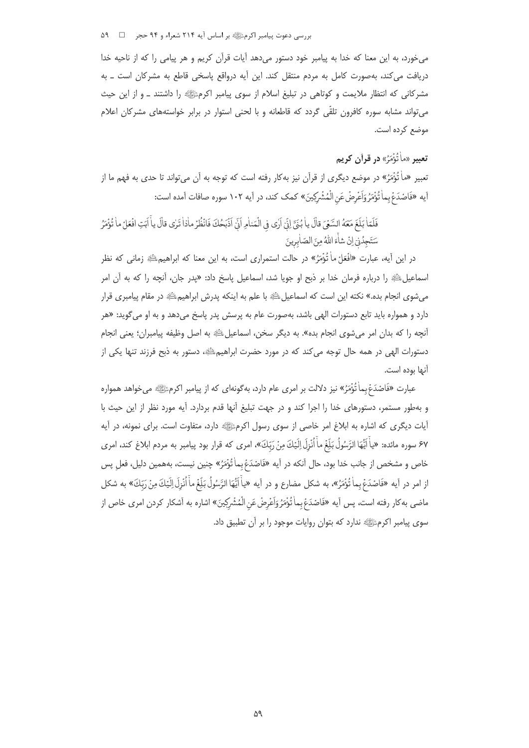بررسی دعوت پیامبر اکرمﷺ بر اساس آیه ۲۱۴ شعراء و ۹۴ حجر ۔ □ ۔ ۵۹

می خورد، به این معنا که خدا به پیامبر خود دستور میدهد آیات قرآن کریم و هر پیامی را که از ناحیه خدا دریافت می کند، بهصورت کامل به مردم منتقل کند. این آیه درواقع پاسخی قاطع به مشرکان است ــ به مشرکانی که انتظار ملایمت و کوتاهی در تبلیغ اسلام از سوی پیامبر اکرمﷺ را داشتند ــ و از این حیث می تواند مشابه سوره کافرون تلقّی گردد که قاطعانه و با لحنی استوار در برابر خواستههای مشرکان اعلام موضع كرده است.

# تعبير «ماْ تُؤْمَرُ» در قرآن كريم

تعبیر «ماٰ تُؤْمَرُ» در موضع دیگری از قرآن نیز بهکار رفته است که توجه به آن میتواند تا حدی به فهم ما از آيه «فَاصْدَعْ بِماٰ تُؤْمَرُ وَاَعْرِضْ عَنِ الْمُشْرِكِينَ» كمك كند، در آيه ١٠٢ سوره صافات آمده است:

فَلَمّا بَلَغَ مَعَهُ السَّعْيَ قالَ ياٰ بُنَّ لِنِّ أَرٰى في الْمَناٰمِ اَنِّ اَذْبَحُكَ فَانْظُرْ ماٰذا تَرٰى قالَ ياْ اَبَتِ افْعَلْ ماٰ تُؤْمَرُ سَتَجِدُنِّ إِنْ شَأَءَ اللَّهُ مِنَ الصّاٰبِرِينَ

در این آیه، عبارت «افْعَلْ ماْ تُؤْمَرُ» در حالت استمراری است، به این معنا که ابراهیم،ﷺ زمانی که نظر اسماعیلﷺ را درباره فرمان خدا بر ذبح او جویا شد، اسماعیل پاسخ داد: «پدر جان، آنچه را که به آن امر می شوی انجام بده.» نکته این است که اسماعیل ﷺ با علم به اینکه پدرش ابراهیم ﷺ در مقام پیامبری قرار دارد و همواره باید تابع دستورات الهی باشد، بهصورت عام به پرسش پدر پاسخ میدهد و به او می گوید: «هر أنچه را كه بدان امر مىشوى انجام بده». به ديگر سخن، اسماعيلﷺ به اصل وظيفه پيامبران؛ يعنى انجام دستورات الهی در همه حال توجه میکند که در مورد حضرت ابراهیمﷺ، دستور به ذبح فرزند تنها یکی از آنها بوده است.

عبارت «فَاصْدَعْ بماٰ تُؤْمَرُ» نيز دلالت بر امري عام دارد، بهگونهاي كه از پيامبر اكرمﷺ ميخواهد همواره و بهطور مستمر، دستورهای خدا را اجرا کند و در جهت تبلیغ آنها قدم بردارد. آیه مورد نظر از این حیث با أيات ديگري كه اشاره به ابلاغ امر خاصي از سوي رسول اكرمﷺ دارد، متفاوت است. براي نمونه، در آيه ۶۷ سوره مائده: «ياْ اَيُّهَا الرَّسُولُ بَلِّغُ ماْ اُنْزِلَ اِلَيْكَ مِنْ رَبِّكَ»، امرى كه قرار بود پيامبر به مردم ابلاغ كند، امرى خاص و مشخص از جانب خدا بود، حال آنكه در آيه «فَاصْدَعُ بِماٰ تُوْمَرُ» چنين نيست، بههمين دليل، فعلِ پس از امر در آيه «فَاصْدَعْ بِماْ تُؤْمَرُ»، به شكل مضارع و در آيه «ياْ اَيُّهَا الرَّسُولُ بَلِّغْ ماْ أُنْزِلَ اِلَيْكَ مِنْ رَبّكَ» به شكل ماضي به كار رفته است، پس أيه «فَاصْدَعْ بماٰ تُؤْمَرُ وَاَعْرِضْ عَنِ الْمُشْرِكِينَ» اشاره به أشكار كردن امري خاص از سوی پیامبر اکرمﷺ ندارد که بتوان روایات موجود را بر آن تطبیق داد.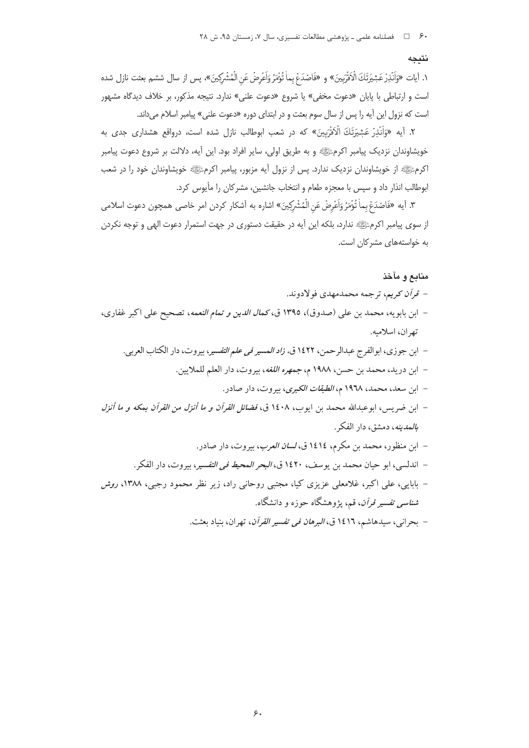#### نتىجە

١. آيات «وَاَنْذِرْعَشِيَرَتَكَ الْأَقْرَبِينَ» و «فَاصْدَعْ بِماٰ تُؤْمَرُ وَاَعْرِضْ عَنِ الْمُشْرِكِينَ»، پس از سال ششم بعثت نازل شده است و ارتباطی با پایان «دعوت مخفی» یا شروع «دعوت علنی» ندارد. نتیجه مذکور، بر خلاف دیدگاه مشهور است که نزول این آیه را پس از سال سوم بعثت و در ابتدای دوره «دعوت علنی» پیامبر اسلام میداند.

۲. آیه «وَاَنْذِرْ عَشِیَرَتَكَ الْأَقْرَبِینَ» که در شعب ابوطالب نازل شده است، درواقع هشداری جدی به خویشاوندان نزدیک پیامبر اکرمﷺ و به طریق اولی، سایر افراد بود. این آیه، دلالت بر شروع دعوت پیامبر اکرمﷺ از خویشاوندان نزدیک ندارد. پس از نزول آیه مزبور، پیامبر اکرمﷺ خویشاوندان خود را در شعب ابوطالب انذار داد و سپس با معجزه طعام و انتخاب جانشین، مشرکان را مأیوس کرد.

٣. آيه «فَاصْدَعْ بماْ تُؤْمَرُ وَاَعْرِضْ عَنِ الْمُشْرِكِينَ» اشاره به آشكار كردن امر خاصى همچون دعوت اسلامى از سوی پیامبر اکرمﷺ ندارد، بلکه این آیه در حقیقت دستوری در جهت استمرار دعوت الهی و توجه نکردن به خواستههای مشرکان است.

## منابع و مآخذ

- قرأن كريم، ترجمه محمدمهدي فولادوند.
- ابن بابويه، محمد بن علي (صدوق)، ١٣٩٥ ق، كم*ال الدين و تمام النعمه*، تصحيح علي اكبر غفاري، تهران، اسلاميه.
	- ابن جوزي، ابوالفرج عبدالرحمن، ١٤٢٢ ق، *زاد المسير في علم التفسي*ر، بيروت، دار الكتاب العربي.
		- ابن دريد، محمد بن حسن، ١٩٨٨ م، *جمهره اللغه*، بيروت، دار العلم للملايين.
			- ابن سعد، محمد، ۱۹۶۸ م، *الطبقات الكبرى*، بيروت، دار صادر.
- ابن ضريس، ابوعبدالله محمد بن ايوب، ١٤٠٨ ق، *فضائل القرآن و ما أنزل من القرآن بمكه و ما أنزل* ب*المدينه*، دمشق، دار الفكر .
	- ابن منظور، محمد بن مكرم، ١٤١٤ ق، *لسان العرب*، بيروت، دار صادر.
	- اندلسي، ابو حيان محمد بن يوسف، ١٤٢٠ ق، *البحر المحيط في التفسي*ر، بيروت، دار الفكر.
- بابایی، علی اکبر، غلامعلی عزیزی کیا، مجتبی روحانی راد، زیر نظر محمود رجبی، ۱۳۸۸، *روش شناسی تفسیر قرآن*، قم، یژوهشگاه حوزه و دانشگاه.
	- بحراني، سيدهاشم، ١٤١٦ ق، *البرهان في تفسير القرآن*، تهران، بنياد بعثت.